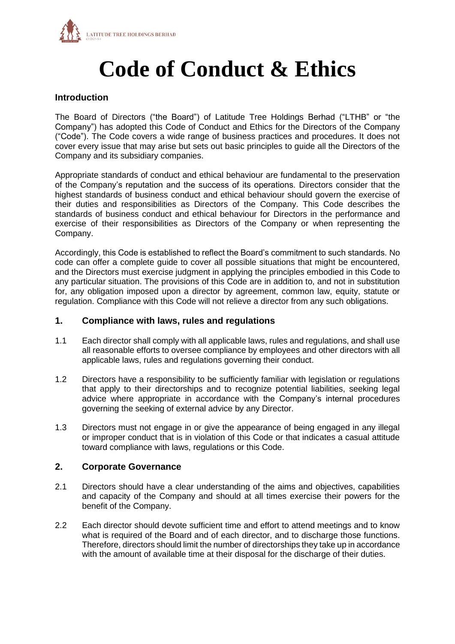

# **Code of Conduct & Ethics**

# **Introduction**

The Board of Directors ("the Board") of Latitude Tree Holdings Berhad ("LTHB" or "the Company") has adopted this Code of Conduct and Ethics for the Directors of the Company ("Code"). The Code covers a wide range of business practices and procedures. It does not cover every issue that may arise but sets out basic principles to guide all the Directors of the Company and its subsidiary companies.

Appropriate standards of conduct and ethical behaviour are fundamental to the preservation of the Company's reputation and the success of its operations. Directors consider that the highest standards of business conduct and ethical behaviour should govern the exercise of their duties and responsibilities as Directors of the Company. This Code describes the standards of business conduct and ethical behaviour for Directors in the performance and exercise of their responsibilities as Directors of the Company or when representing the Company.

Accordingly, this Code is established to reflect the Board's commitment to such standards. No code can offer a complete guide to cover all possible situations that might be encountered, and the Directors must exercise judgment in applying the principles embodied in this Code to any particular situation. The provisions of this Code are in addition to, and not in substitution for, any obligation imposed upon a director by agreement, common law, equity, statute or regulation. Compliance with this Code will not relieve a director from any such obligations.

#### **1. Compliance with laws, rules and regulations**

- 1.1 Each director shall comply with all applicable laws, rules and regulations, and shall use all reasonable efforts to oversee compliance by employees and other directors with all applicable laws, rules and regulations governing their conduct.
- 1.2 Directors have a responsibility to be sufficiently familiar with legislation or regulations that apply to their directorships and to recognize potential liabilities, seeking legal advice where appropriate in accordance with the Company's internal procedures governing the seeking of external advice by any Director.
- 1.3 Directors must not engage in or give the appearance of being engaged in any illegal or improper conduct that is in violation of this Code or that indicates a casual attitude toward compliance with laws, regulations or this Code.

# **2. Corporate Governance**

- 2.1 Directors should have a clear understanding of the aims and objectives, capabilities and capacity of the Company and should at all times exercise their powers for the benefit of the Company.
- 2.2 Each director should devote sufficient time and effort to attend meetings and to know what is required of the Board and of each director, and to discharge those functions. Therefore, directors should limit the number of directorships they take up in accordance with the amount of available time at their disposal for the discharge of their duties.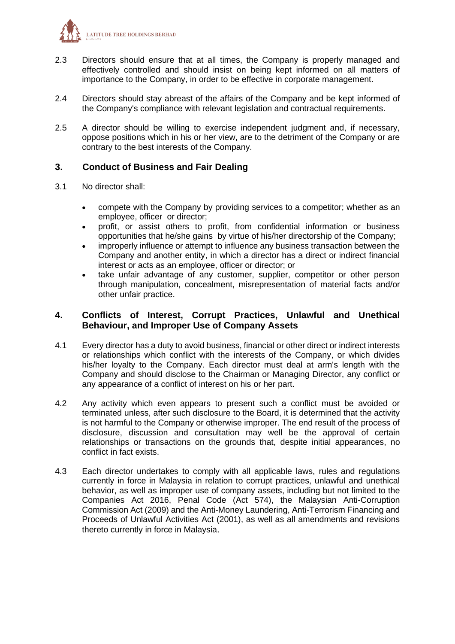

- 2.3 Directors should ensure that at all times, the Company is properly managed and effectively controlled and should insist on being kept informed on all matters of importance to the Company, in order to be effective in corporate management.
- 2.4 Directors should stay abreast of the affairs of the Company and be kept informed of the Company's compliance with relevant legislation and contractual requirements.
- 2.5 A director should be willing to exercise independent judgment and, if necessary, oppose positions which in his or her view, are to the detriment of the Company or are contrary to the best interests of the Company.

# **3. Conduct of Business and Fair Dealing**

- 3.1 No director shall:
	- compete with the Company by providing services to a competitor; whether as an employee, officer or director;
	- profit, or assist others to profit, from confidential information or business opportunities that he/she gains by virtue of his/her directorship of the Company;
	- improperly influence or attempt to influence any business transaction between the Company and another entity, in which a director has a direct or indirect financial interest or acts as an employee, officer or director; or
	- take unfair advantage of any customer, supplier, competitor or other person through manipulation, concealment, misrepresentation of material facts and/or other unfair practice.

### **4. Conflicts of Interest, Corrupt Practices, Unlawful and Unethical Behaviour, and Improper Use of Company Assets**

- 4.1 Every director has a duty to avoid business, financial or other direct or indirect interests or relationships which conflict with the interests of the Company, or which divides his/her loyalty to the Company. Each director must deal at arm's length with the Company and should disclose to the Chairman or Managing Director, any conflict or any appearance of a conflict of interest on his or her part.
- 4.2 Any activity which even appears to present such a conflict must be avoided or terminated unless, after such disclosure to the Board, it is determined that the activity is not harmful to the Company or otherwise improper. The end result of the process of disclosure, discussion and consultation may well be the approval of certain relationships or transactions on the grounds that, despite initial appearances, no conflict in fact exists.
- 4.3 Each director undertakes to comply with all applicable laws, rules and regulations currently in force in Malaysia in relation to corrupt practices, unlawful and unethical behavior, as well as improper use of company assets, including but not limited to the Companies Act 2016, Penal Code (Act 574), the Malaysian Anti-Corruption Commission Act (2009) and the Anti-Money Laundering, Anti-Terrorism Financing and Proceeds of Unlawful Activities Act (2001), as well as all amendments and revisions thereto currently in force in Malaysia.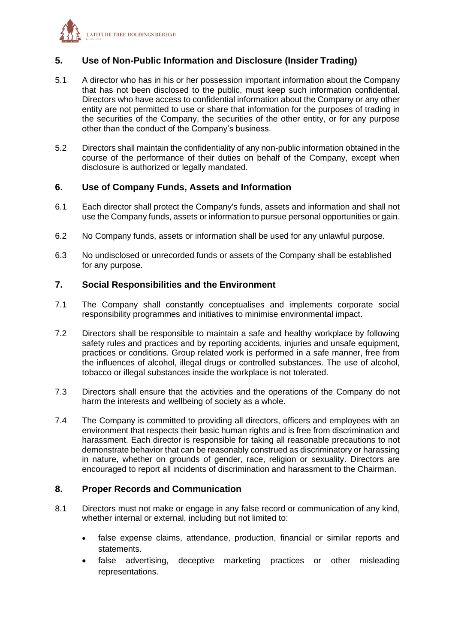

# **5. Use of Non-Public Information and Disclosure (Insider Trading)**

- 5.1 A director who has in his or her possession important information about the Company that has not been disclosed to the public, must keep such information confidential. Directors who have access to confidential information about the Company or any other entity are not permitted to use or share that information for the purposes of trading in the securities of the Company, the securities of the other entity, or for any purpose other than the conduct of the Company's business.
- 5.2 Directors shall maintain the confidentiality of any non-public information obtained in the course of the performance of their duties on behalf of the Company, except when disclosure is authorized or legally mandated.

# **6. Use of Company Funds, Assets and Information**

- 6.1 Each director shall protect the Company's funds, assets and information and shall not use the Company funds, assets or information to pursue personal opportunities or gain.
- 6.2 No Company funds, assets or information shall be used for any unlawful purpose.
- 6.3 No undisclosed or unrecorded funds or assets of the Company shall be established for any purpose.

# **7. Social Responsibilities and the Environment**

- 7.1 The Company shall constantly conceptualises and implements corporate social responsibility programmes and initiatives to minimise environmental impact.
- 7.2 Directors shall be responsible to maintain a safe and healthy workplace by following safety rules and practices and by reporting accidents, injuries and unsafe equipment, practices or conditions. Group related work is performed in a safe manner, free from the influences of alcohol, illegal drugs or controlled substances. The use of alcohol, tobacco or illegal substances inside the workplace is not tolerated.
- 7.3 Directors shall ensure that the activities and the operations of the Company do not harm the interests and wellbeing of society as a whole.
- 7.4 The Company is committed to providing all directors, officers and employees with an environment that respects their basic human rights and is free from discrimination and harassment. Each director is responsible for taking all reasonable precautions to not demonstrate behavior that can be reasonably construed as discriminatory or harassing in nature, whether on grounds of gender, race, religion or sexuality. Directors are encouraged to report all incidents of discrimination and harassment to the Chairman.

# **8. Proper Records and Communication**

- 8.1 Directors must not make or engage in any false record or communication of any kind, whether internal or external, including but not limited to:
	- false expense claims, attendance, production, financial or similar reports and statements.
	- false advertising, deceptive marketing practices or other misleading representations.